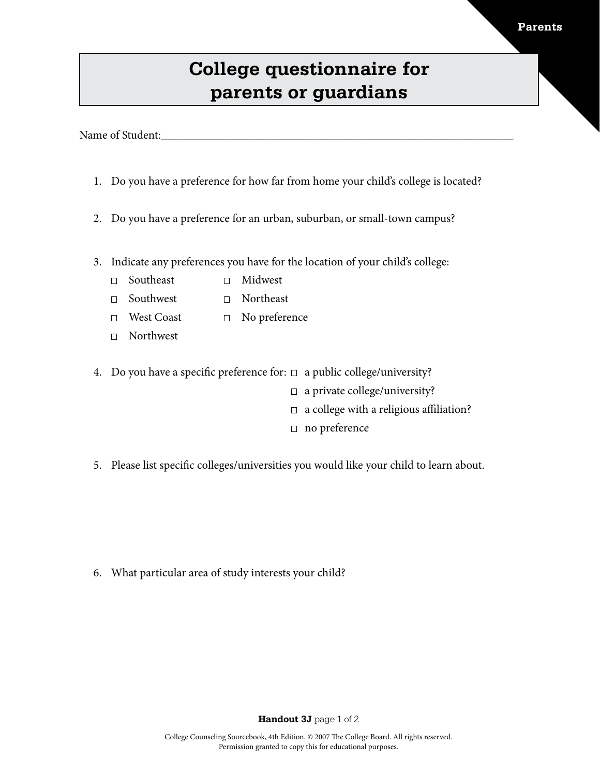## **College questionnaire for parents or guardians**

Name of Student:

- 1. Do you have a preference for how far from home your child's college is located?
- 2. Do you have a preference for an urban, suburban, or small-town campus?
- 3. Indicate any preferences you have for the location of your child's college:
	- Southeast Midwest
	- □ Southwest □ Northeast
	- □ No preference West Coast  $\Box$
	- Northwest
- 4. Do you have a specific preference for:  $\Box$  a public college/university?
	- $\Box$  a private college/university?
	- $\Box$  a college with a religious affiliation?
	- □ no preference
- 5. Please list specific colleges/universities you would like your child to learn about.

6. What particular area of study interests your child?